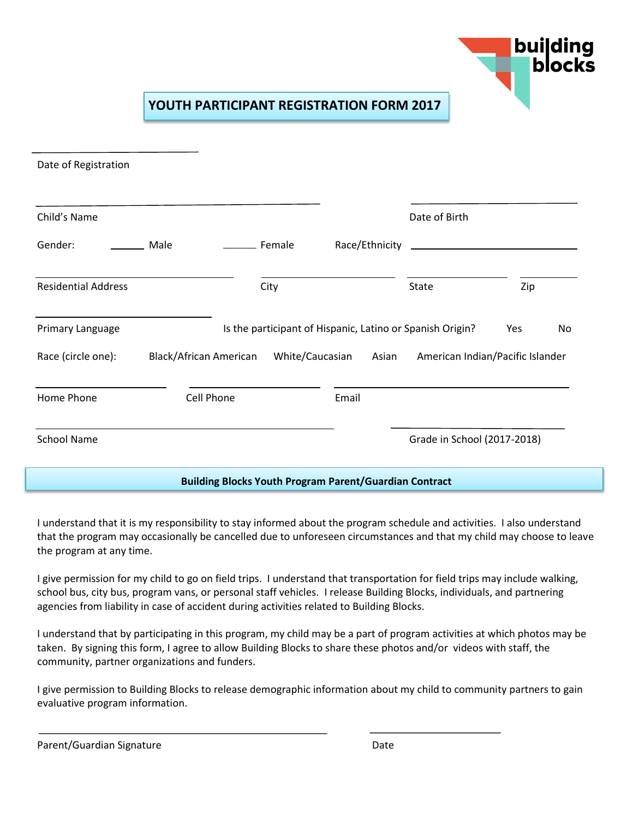

## **YOUTH PARTICIPANT REGISTRATION FORM 2017**

| Date of Registration                                          |                               |                 |                                                           |                                  |           |  |
|---------------------------------------------------------------|-------------------------------|-----------------|-----------------------------------------------------------|----------------------------------|-----------|--|
| Child's Name                                                  |                               |                 |                                                           | Date of Birth                    |           |  |
| Gender:                                                       | Male                          | _____ Female    | Race/Ethnicity                                            |                                  |           |  |
| <b>Residential Address</b>                                    |                               | City            |                                                           | <b>State</b>                     | Zip       |  |
| Primary Language                                              |                               |                 | Is the participant of Hispanic, Latino or Spanish Origin? |                                  | Yes<br>No |  |
| Race (circle one):                                            | <b>Black/African American</b> | White/Caucasian | Asian                                                     | American Indian/Pacific Islander |           |  |
| Home Phone                                                    | Cell Phone                    |                 | Email                                                     |                                  |           |  |
| <b>School Name</b>                                            |                               |                 |                                                           | Grade in School (2017-2018)      |           |  |
| <b>Building Blocks Youth Program Parent/Guardian Contract</b> |                               |                 |                                                           |                                  |           |  |

I understand that it is my responsibility to stay informed about the program schedule and activities. I also understand that the program may occasionally be cancelled due to unforeseen circumstances and that my child may choose to leave the program at any time.

I give permission for my child to go on field trips. I understand that transportation for field trips may include walking, school bus, city bus, program vans, or personal staff vehicles. I release Building Blocks, individuals, and partnering agencies from liability in case of accident during activities related to Building Blocks.

I understand that by participating in this program, my child may be a part of program activities at which photos may be taken. By signing this form, I agree to allow Building Blocks to share these photos and/or videos with staff, the community, partner organizations and funders.

I give permission to Building Blocks to release demographic information about my child to community partners to gain evaluative program information.

| Parent/Guardian Signature | Date |
|---------------------------|------|
|                           |      |